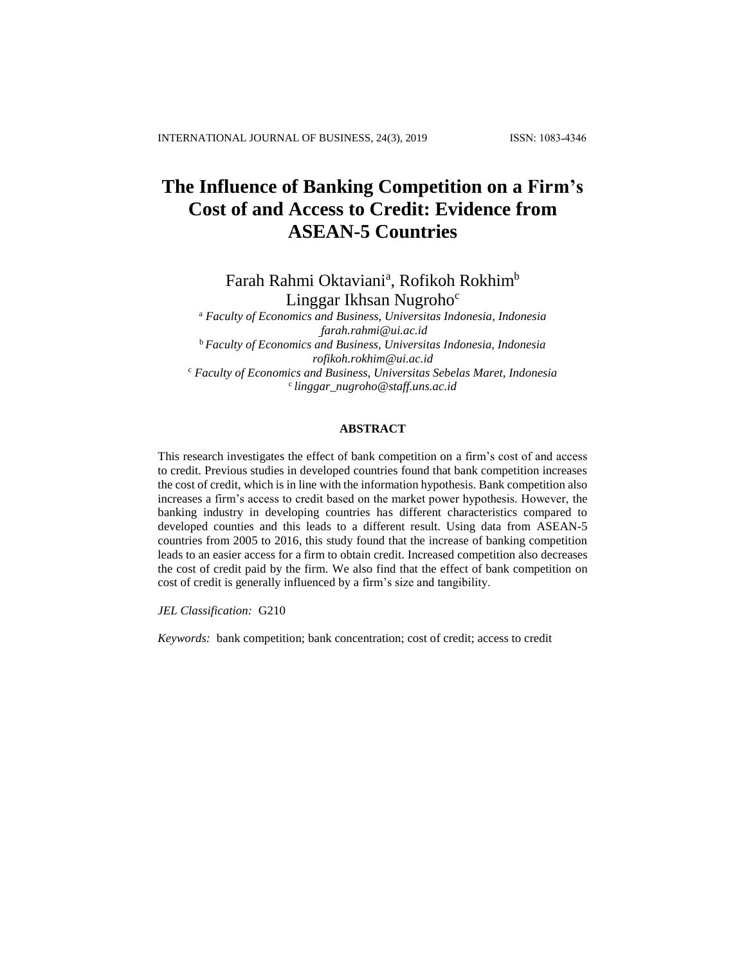# **The Influence of Banking Competition on a Firm's Cost of and Access to Credit: Evidence from ASEAN-5 Countries**

Farah Rahmi Oktaviani<sup>a</sup>, Rofikoh Rokhim<sup>b</sup> Linggar Ikhsan Nugroho<sup>c</sup>

<sup>a</sup> *Faculty of Economics and Business, Universitas Indonesia, Indonesia [farah.rahmi@ui.ac.id](mailto:farah.rahmi@ui.ac.id)* <sup>b</sup> *Faculty of Economics and Business, Universitas Indonesia, Indonesia rofikoh.rokhim@ui.ac.id* <sup>c</sup> *Faculty of Economics and Business, Universitas Sebelas Maret, Indonesia* <sup>c</sup>*[linggar\\_nugroho@staff.uns.ac.id](mailto:linggar_nugroho@staff.uns.ac.id)*

# **ABSTRACT**

This research investigates the effect of bank competition on a firm's cost of and access to credit. Previous studies in developed countries found that bank competition increases the cost of credit, which is in line with the information hypothesis. Bank competition also increases a firm's access to credit based on the market power hypothesis. However, the banking industry in developing countries has different characteristics compared to developed counties and this leads to a different result. Using data from ASEAN-5 countries from 2005 to 2016, this study found that the increase of banking competition leads to an easier access for a firm to obtain credit. Increased competition also decreases the cost of credit paid by the firm*.* We also find that the effect of bank competition on cost of credit is generally influenced by a firm's size and tangibility.

*JEL Classification:* G210

*Keywords:* bank competition; bank concentration; cost of credit; access to credit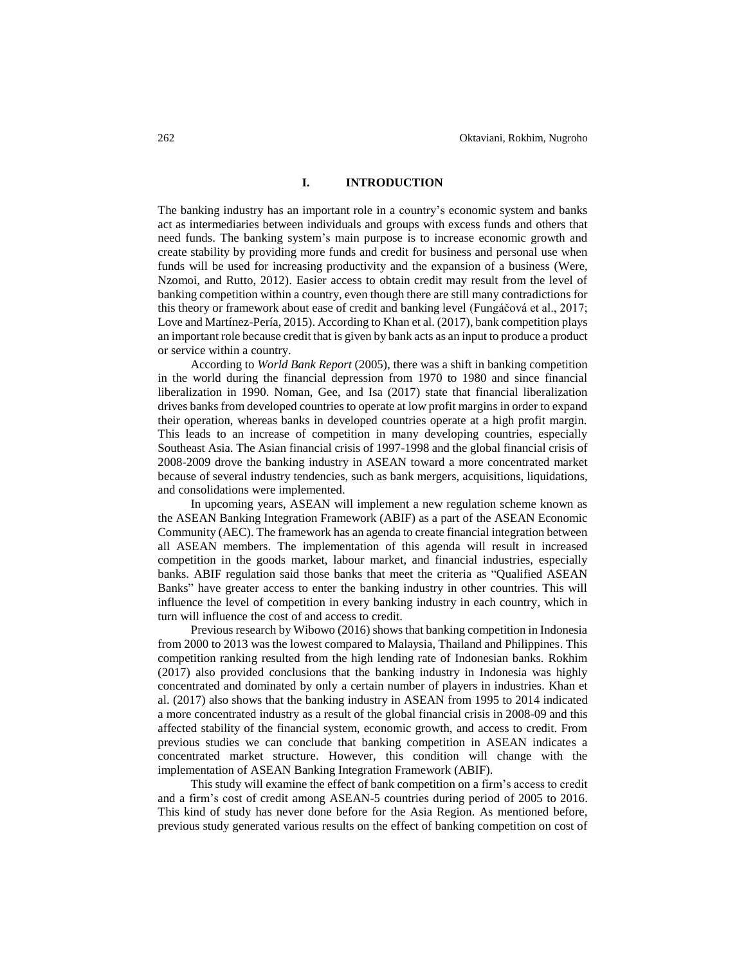# **I. INTRODUCTION**

The banking industry has an important role in a country's economic system and banks act as intermediaries between individuals and groups with excess funds and others that need funds. The banking system's main purpose is to increase economic growth and create stability by providing more funds and credit for business and personal use when funds will be used for increasing productivity and the expansion of a business (Were, Nzomoi, and Rutto, 2012). Easier access to obtain credit may result from the level of banking competition within a country, even though there are still many contradictions for this theory or framework about ease of credit and banking level (Fungáčová et al., 2017; Love and Martínez-Pería, 2015). According to Khan et al. (2017), bank competition plays an important role because credit that is given by bank acts as an input to produce a product or service within a country.

According to *World Bank Report* (2005), there was a shift in banking competition in the world during the financial depression from 1970 to 1980 and since financial liberalization in 1990. Noman, Gee, and Isa (2017) state that financial liberalization drives banks from developed countries to operate at low profit margins in order to expand their operation, whereas banks in developed countries operate at a high profit margin. This leads to an increase of competition in many developing countries, especially Southeast Asia. The Asian financial crisis of 1997-1998 and the global financial crisis of 2008-2009 drove the banking industry in ASEAN toward a more concentrated market because of several industry tendencies, such as bank mergers, acquisitions, liquidations, and consolidations were implemented.

In upcoming years, ASEAN will implement a new regulation scheme known as the ASEAN Banking Integration Framework (ABIF) as a part of the ASEAN Economic Community (AEC). The framework has an agenda to create financial integration between all ASEAN members. The implementation of this agenda will result in increased competition in the goods market, labour market, and financial industries, especially banks. ABIF regulation said those banks that meet the criteria as "Qualified ASEAN Banks" have greater access to enter the banking industry in other countries. This will influence the level of competition in every banking industry in each country, which in turn will influence the cost of and access to credit.

Previous research by Wibowo (2016) shows that banking competition in Indonesia from 2000 to 2013 was the lowest compared to Malaysia, Thailand and Philippines. This competition ranking resulted from the high lending rate of Indonesian banks. Rokhim (2017) also provided conclusions that the banking industry in Indonesia was highly concentrated and dominated by only a certain number of players in industries. Khan et al. (2017) also shows that the banking industry in ASEAN from 1995 to 2014 indicated a more concentrated industry as a result of the global financial crisis in 2008-09 and this affected stability of the financial system, economic growth, and access to credit. From previous studies we can conclude that banking competition in ASEAN indicates a concentrated market structure. However, this condition will change with the implementation of ASEAN Banking Integration Framework (ABIF).

This study will examine the effect of bank competition on a firm's access to credit and a firm's cost of credit among ASEAN-5 countries during period of 2005 to 2016. This kind of study has never done before for the Asia Region. As mentioned before, previous study generated various results on the effect of banking competition on cost of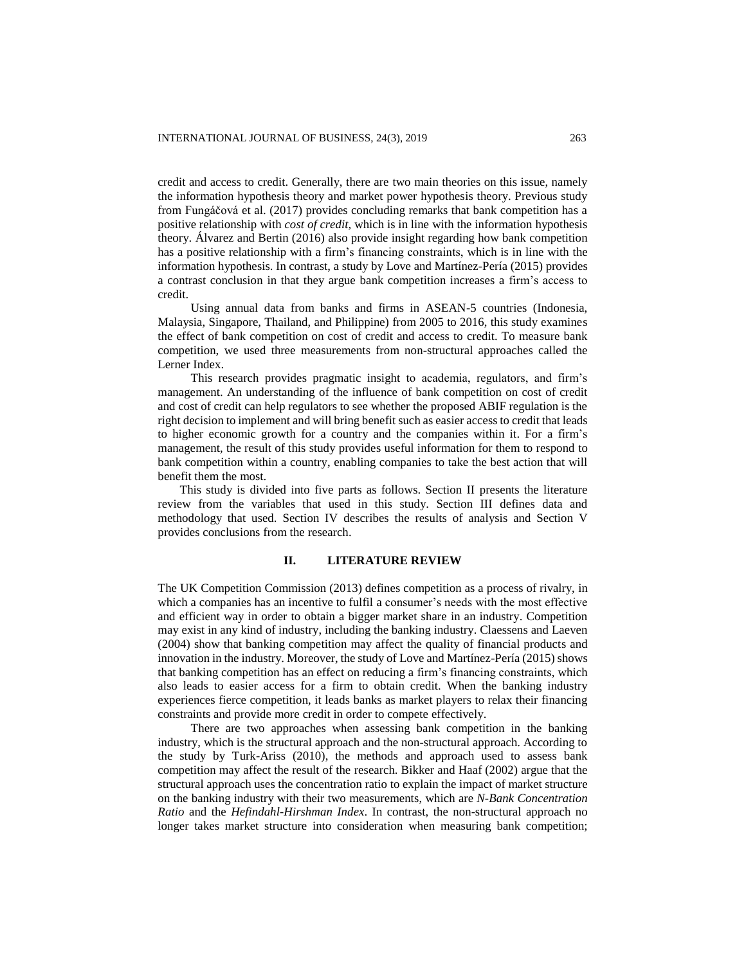credit and access to credit. Generally, there are two main theories on this issue, namely the information hypothesis theory and market power hypothesis theory. Previous study from Fungáčová et al. (2017) provides concluding remarks that bank competition has a positive relationship with *cost of credit,* which is in line with the information hypothesis theory. Álvarez and Bertin (2016) also provide insight regarding how bank competition has a positive relationship with a firm's financing constraints, which is in line with the information hypothesis. In contrast, a study by Love and Martínez-Pería (2015) provides a contrast conclusion in that they argue bank competition increases a firm's access to credit.

Using annual data from banks and firms in ASEAN-5 countries (Indonesia, Malaysia, Singapore, Thailand, and Philippine) from 2005 to 2016, this study examines the effect of bank competition on cost of credit and access to credit. To measure bank competition, we used three measurements from non-structural approaches called the Lerner Index.

This research provides pragmatic insight to academia, regulators, and firm's management. An understanding of the influence of bank competition on cost of credit and cost of credit can help regulators to see whether the proposed ABIF regulation is the right decision to implement and will bring benefit such as easier access to credit that leads to higher economic growth for a country and the companies within it. For a firm's management, the result of this study provides useful information for them to respond to bank competition within a country, enabling companies to take the best action that will benefit them the most.

This study is divided into five parts as follows. Section II presents the literature review from the variables that used in this study. Section III defines data and methodology that used. Section IV describes the results of analysis and Section V provides conclusions from the research.

#### **II. LITERATURE REVIEW**

The UK Competition Commission (2013) defines competition as a process of rivalry, in which a companies has an incentive to fulfil a consumer's needs with the most effective and efficient way in order to obtain a bigger market share in an industry. Competition may exist in any kind of industry, including the banking industry. Claessens and Laeven (2004) show that banking competition may affect the quality of financial products and innovation in the industry. Moreover, the study of Love and Martínez-Pería (2015) shows that banking competition has an effect on reducing a firm's financing constraints, which also leads to easier access for a firm to obtain credit. When the banking industry experiences fierce competition, it leads banks as market players to relax their financing constraints and provide more credit in order to compete effectively.

There are two approaches when assessing bank competition in the banking industry, which is the structural approach and the non-structural approach. According to the study by Turk-Ariss (2010), the methods and approach used to assess bank competition may affect the result of the research. Bikker and Haaf (2002) argue that the structural approach uses the concentration ratio to explain the impact of market structure on the banking industry with their two measurements, which are *N-Bank Concentration Ratio* and the *Hefindahl-Hirshman Index*. In contrast, the non-structural approach no longer takes market structure into consideration when measuring bank competition;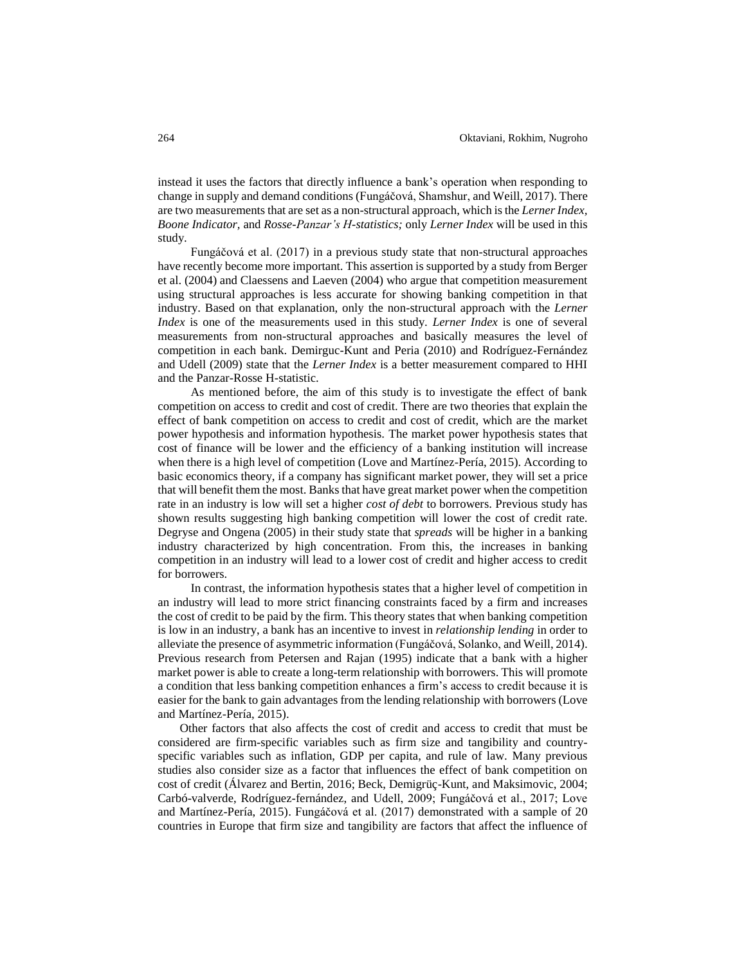instead it uses the factors that directly influence a bank's operation when responding to change in supply and demand conditions (Fungáčová, Shamshur, and Weill, 2017). There are two measurements that are set as a non-structural approach, which isthe *Lerner Index, Boone Indicator,* and *Rosse-Panzar's H-statistics;* only *Lerner Index* will be used in this study.

Fungáčová et al. (2017) in a previous study state that non-structural approaches have recently become more important. This assertion is supported by a study from Berger et al. (2004) and Claessens and Laeven (2004) who argue that competition measurement using structural approaches is less accurate for showing banking competition in that industry. Based on that explanation, only the non-structural approach with the *Lerner Index* is one of the measurements used in this study. *Lerner Index* is one of several measurements from non-structural approaches and basically measures the level of competition in each bank. Demirguc-Kunt and Peria (2010) and Rodríguez-Fernández and Udell (2009) state that the *Lerner Index* is a better measurement compared to HHI and the Panzar-Rosse H-statistic.

As mentioned before, the aim of this study is to investigate the effect of bank competition on access to credit and cost of credit. There are two theories that explain the effect of bank competition on access to credit and cost of credit, which are the market power hypothesis and information hypothesis. The market power hypothesis states that cost of finance will be lower and the efficiency of a banking institution will increase when there is a high level of competition (Love and Martínez-Pería, 2015). According to basic economics theory, if a company has significant market power, they will set a price that will benefit them the most. Banks that have great market power when the competition rate in an industry is low will set a higher *cost of debt* to borrowers. Previous study has shown results suggesting high banking competition will lower the cost of credit rate. Degryse and Ongena (2005) in their study state that *spreads* will be higher in a banking industry characterized by high concentration. From this, the increases in banking competition in an industry will lead to a lower cost of credit and higher access to credit for borrowers.

In contrast, the information hypothesis states that a higher level of competition in an industry will lead to more strict financing constraints faced by a firm and increases the cost of credit to be paid by the firm. This theory states that when banking competition is low in an industry, a bank has an incentive to invest in *relationship lending* in order to alleviate the presence of asymmetric information (Fungáčová, Solanko, and Weill, 2014). Previous research from Petersen and Rajan (1995) indicate that a bank with a higher market power is able to create a long-term relationship with borrowers. This will promote a condition that less banking competition enhances a firm's access to credit because it is easier for the bank to gain advantages from the lending relationship with borrowers (Love and Martínez-Pería, 2015).

Other factors that also affects the cost of credit and access to credit that must be considered are firm-specific variables such as firm size and tangibility and countryspecific variables such as inflation, GDP per capita, and rule of law. Many previous studies also consider size as a factor that influences the effect of bank competition on cost of credit (Álvarez and Bertin, 2016; Beck, Demigrüç-Kunt, and Maksimovic, 2004; Carbó-valverde, Rodríguez-fernández, and Udell, 2009; Fungáčová et al., 2017; Love and Martínez-Pería, 2015). Fungáčová et al. (2017) demonstrated with a sample of 20 countries in Europe that firm size and tangibility are factors that affect the influence of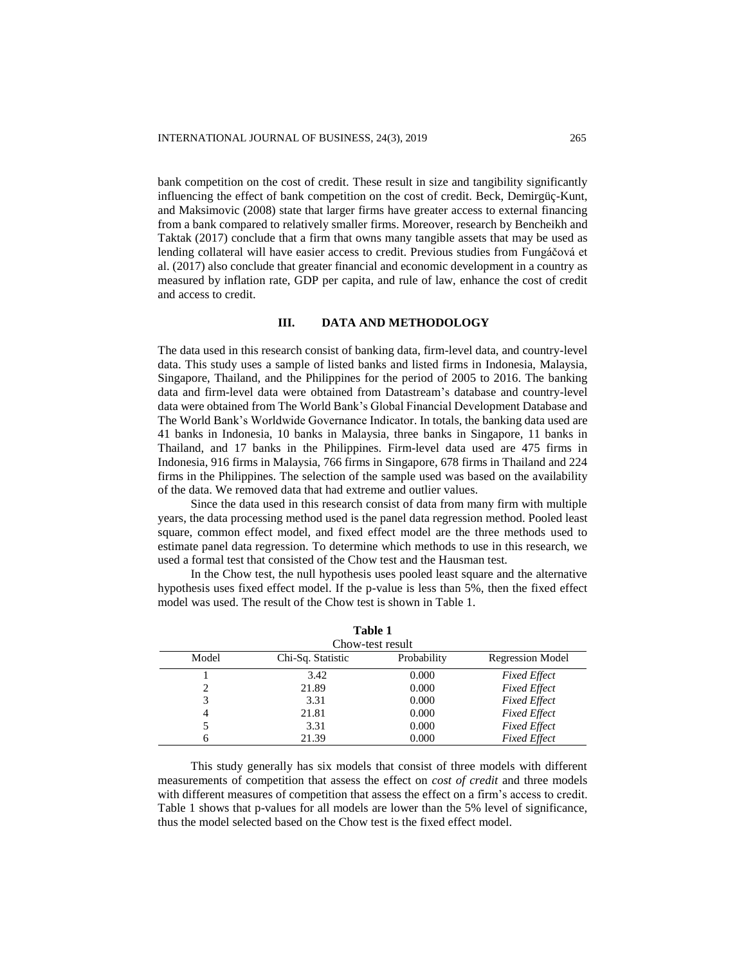bank competition on the cost of credit. These result in size and tangibility significantly influencing the effect of bank competition on the cost of credit. Beck, Demirgüç-Kunt, and Maksimovic (2008) state that larger firms have greater access to external financing from a bank compared to relatively smaller firms. Moreover, research by Bencheikh and Taktak (2017) conclude that a firm that owns many tangible assets that may be used as lending collateral will have easier access to credit. Previous studies from Fungáčová et al. (2017) also conclude that greater financial and economic development in a country as measured by inflation rate, GDP per capita, and rule of law, enhance the cost of credit and access to credit.

# **III. DATA AND METHODOLOGY**

The data used in this research consist of banking data, firm-level data, and country-level data. This study uses a sample of listed banks and listed firms in Indonesia, Malaysia, Singapore, Thailand, and the Philippines for the period of 2005 to 2016. The banking data and firm-level data were obtained from Datastream's database and country-level data were obtained from The World Bank's Global Financial Development Database and The World Bank's Worldwide Governance Indicator. In totals, the banking data used are 41 banks in Indonesia, 10 banks in Malaysia, three banks in Singapore, 11 banks in Thailand, and 17 banks in the Philippines. Firm-level data used are 475 firms in Indonesia, 916 firms in Malaysia, 766 firms in Singapore, 678 firms in Thailand and 224 firms in the Philippines. The selection of the sample used was based on the availability of the data. We removed data that had extreme and outlier values.

Since the data used in this research consist of data from many firm with multiple years, the data processing method used is the panel data regression method. Pooled least square, common effect model, and fixed effect model are the three methods used to estimate panel data regression. To determine which methods to use in this research, we used a formal test that consisted of the Chow test and the Hausman test.

In the Chow test, the null hypothesis uses pooled least square and the alternative hypothesis uses fixed effect model. If the p-value is less than 5%, then the fixed effect model was used. The result of the Chow test is shown in Table 1.

**Table 1** 

| Table 1          |                   |             |                         |  |  |
|------------------|-------------------|-------------|-------------------------|--|--|
| Chow-test result |                   |             |                         |  |  |
| Model            | Chi-Sq. Statistic | Probability | <b>Regression Model</b> |  |  |
|                  | 3.42              | 0.000       | <b>Fixed Effect</b>     |  |  |
| っ                | 21.89             | 0.000       | <b>Fixed Effect</b>     |  |  |
| 3                | 3.31              | 0.000       | <b>Fixed Effect</b>     |  |  |
| 4                | 21.81             | 0.000       | <b>Fixed Effect</b>     |  |  |
| 5                | 3.31              | 0.000       | <b>Fixed Effect</b>     |  |  |
| 6                | 21.39             | 0.000       | <b>Fixed Effect</b>     |  |  |

This study generally has six models that consist of three models with different measurements of competition that assess the effect on *cost of credit* and three models with different measures of competition that assess the effect on a firm's access to credit. Table 1 shows that p-values for all models are lower than the 5% level of significance, thus the model selected based on the Chow test is the fixed effect model.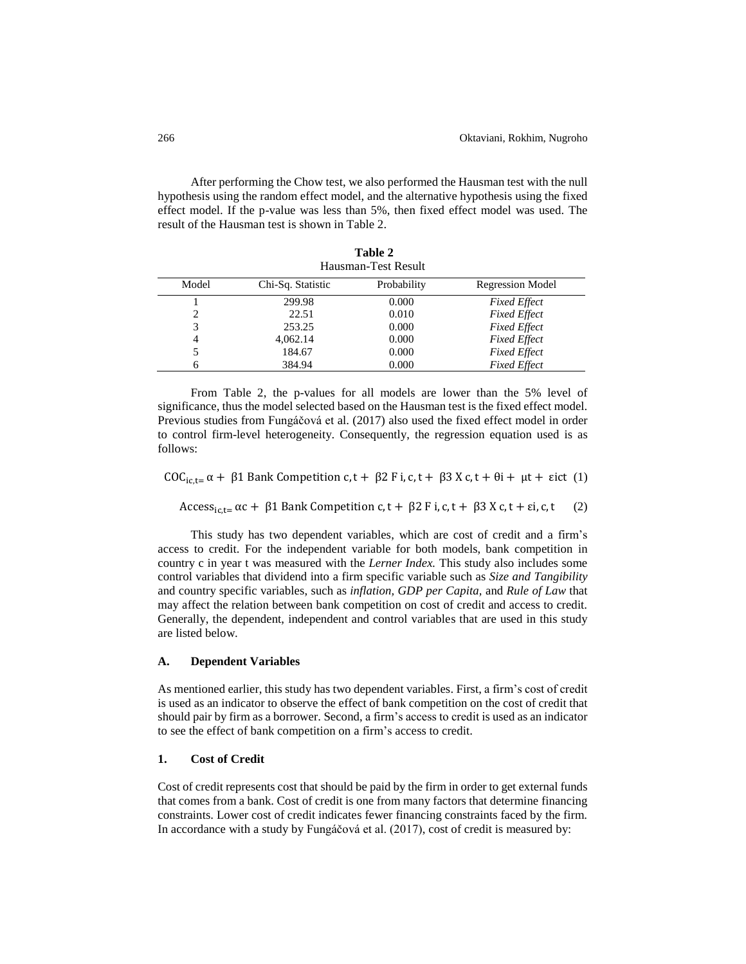After performing the Chow test, we also performed the Hausman test with the null hypothesis using the random effect model, and the alternative hypothesis using the fixed effect model. If the p-value was less than 5%, then fixed effect model was used. The result of the Hausman test is shown in Table 2.

**Table 2** 

| Hausman-Test Result |                   |             |                         |  |
|---------------------|-------------------|-------------|-------------------------|--|
| Model               | Chi-Sq. Statistic | Probability | <b>Regression Model</b> |  |
|                     | 299.98            | 0.000       | <b>Fixed Effect</b>     |  |
|                     | 22.51             | 0.010       | <b>Fixed Effect</b>     |  |
| 3                   | 253.25            | 0.000       | <b>Fixed Effect</b>     |  |
| 4                   | 4.062.14          | 0.000       | <b>Fixed Effect</b>     |  |
|                     | 184.67            | 0.000       | <b>Fixed Effect</b>     |  |
| 6                   | 384.94            | 0.000       | <b>Fixed Effect</b>     |  |

From Table 2, the p-values for all models are lower than the 5% level of significance, thus the model selected based on the Hausman test is the fixed effect model. Previous studies from Fungáčová et al. (2017) also used the fixed effect model in order to control firm-level heterogeneity. Consequently, the regression equation used is as follows:

COC<sub>ic,t=</sub>  $\alpha$  + β1 Bank Competition c, t + β2 F i, c, t + β3 X c, t + θi + μt + εict (1)

Access<sub>ic,t=</sub>  $\alpha$ c +  $\beta$ 1 Bank Competition c, t +  $\beta$ 2 F i, c, t +  $\beta$ 3 X c, t + εi, c, t (2)

This study has two dependent variables, which are cost of credit and a firm's access to credit. For the independent variable for both models, bank competition in country c in year t was measured with the *Lerner Index.* This study also includes some control variables that dividend into a firm specific variable such as *Size and Tangibility* and country specific variables, such as *inflation, GDP per Capita,* and *Rule of Law* that may affect the relation between bank competition on cost of credit and access to credit. Generally, the dependent, independent and control variables that are used in this study are listed below.

## **A. Dependent Variables**

As mentioned earlier, this study has two dependent variables. First, a firm's cost of credit is used as an indicator to observe the effect of bank competition on the cost of credit that should pair by firm as a borrower. Second, a firm's access to credit is used as an indicator to see the effect of bank competition on a firm's access to credit.

### **1. Cost of Credit**

Cost of credit represents cost that should be paid by the firm in order to get external funds that comes from a bank. Cost of credit is one from many factors that determine financing constraints. Lower cost of credit indicates fewer financing constraints faced by the firm. In accordance with a study by Fungáčová et al. (2017), cost of credit is measured by: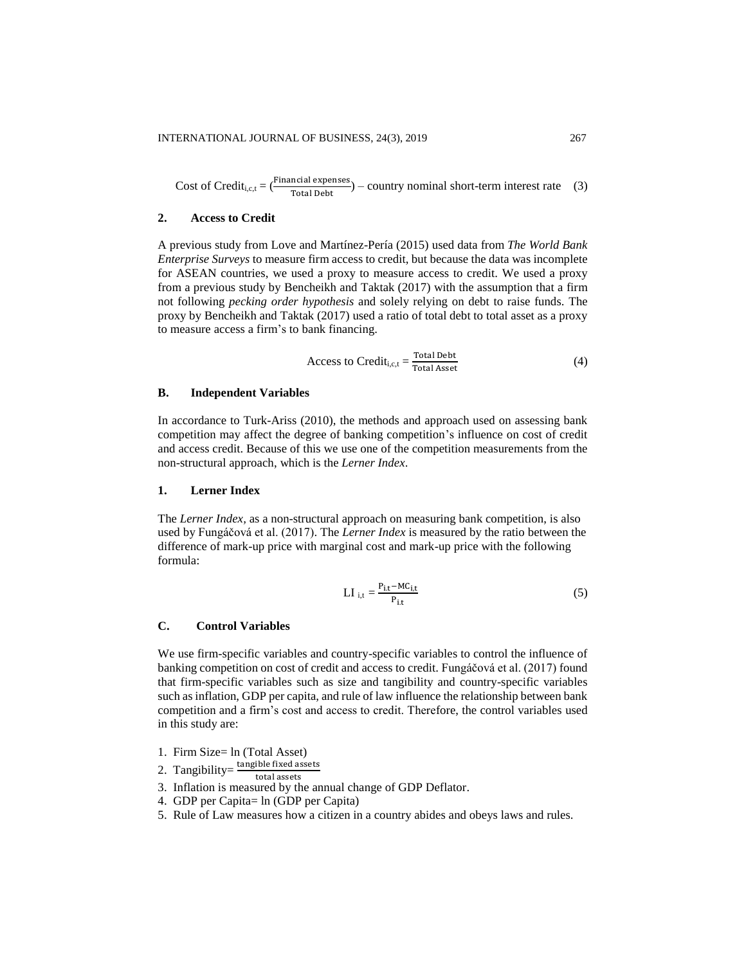Cost of Credit<sub>i,c,t</sub> =  $\frac{\text{Financial expenses}}{\text{Total Debt}}$  – country nominal short-term interest rate (3)

# **2. Access to Credit**

A previous study from Love and Martínez-Pería (2015) used data from *The World Bank Enterprise Surveys* to measure firm access to credit, but because the data was incomplete for ASEAN countries, we used a proxy to measure access to credit. We used a proxy from a previous study by Bencheikh and Taktak (2017) with the assumption that a firm not following *pecking order hypothesis* and solely relying on debt to raise funds. The proxy by Bencheikh and Taktak (2017) used a ratio of total debt to total asset as a proxy to measure access a firm's to bank financing.

Access to Credit<sub>i,c,t</sub> = 
$$
\frac{\text{Total debt}}{\text{Total Asset}}
$$
 (4)

#### **B. Independent Variables**

In accordance to Turk-Ariss (2010), the methods and approach used on assessing bank competition may affect the degree of banking competition's influence on cost of credit and access credit. Because of this we use one of the competition measurements from the non-structural approach, which is the *Lerner Index*.

### **1. Lerner Index**

The *Lerner Index,* as a non-structural approach on measuring bank competition, is also used by Fungáčová et al. (2017). The *Lerner Index* is measured by the ratio between the difference of mark-up price with marginal cost and mark-up price with the following formula:

$$
LI_{i,t} = \frac{P_{i,t} - MC_{i,t}}{P_{i,t}}
$$
 (5)

### **C. Control Variables**

We use firm-specific variables and country-specific variables to control the influence of banking competition on cost of credit and access to credit. Fungáčová et al. (2017) found that firm-specific variables such as size and tangibility and country-specific variables such as inflation, GDP per capita, and rule of law influence the relationship between bank competition and a firm's cost and access to credit. Therefore, the control variables used in this study are:

- 1. Firm Size= ln (Total Asset)
- 2. Tangibility= $\frac{\text{tangle fixed assets}}{\text{tanh} + \text{tanh}}$
- total assets 3. Inflation is measured by the annual change of GDP Deflator.
- 4. GDP per Capita= ln (GDP per Capita)
- 5. Rule of Law measures how a citizen in a country abides and obeys laws and rules.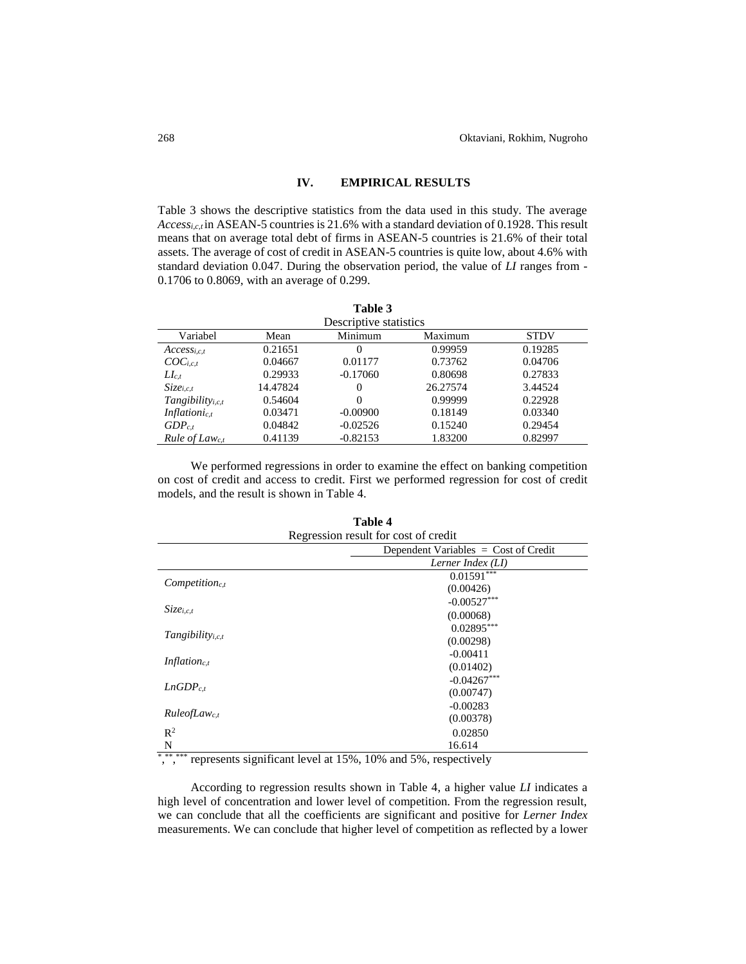# **IV. EMPIRICAL RESULTS**

Table 3 shows the descriptive statistics from the data used in this study. The average *Access<sub>i,c,t</sub>* in ASEAN-5 countries is 21.6% with a standard deviation of 0.1928. This result means that on average total debt of firms in ASEAN-5 countries is 21.6% of their total assets. The average of cost of credit in ASEAN-5 countries is quite low, about 4.6% with standard deviation 0.047. During the observation period, the value of *LI* ranges from - 0.1706 to 0.8069, with an average of 0.299.

**Table 3**

|                           |          | raviv J    |          |             |  |  |
|---------------------------|----------|------------|----------|-------------|--|--|
| Descriptive statistics    |          |            |          |             |  |  |
| Variabel                  | Mean     | Minimum    | Maximum  | <b>STDV</b> |  |  |
| $Access_{i.c.t}$          | 0.21651  | $_{0}$     | 0.99959  | 0.19285     |  |  |
| $COC_{i,c,t}$             | 0.04667  | 0.01177    | 0.73762  | 0.04706     |  |  |
| $L_{c,t}$                 | 0.29933  | $-0.17060$ | 0.80698  | 0.27833     |  |  |
| $Size_{i.c.t}$            | 14.47824 | 0          | 26.27574 | 3.44524     |  |  |
| $Tangibility_{i,c,t}$     | 0.54604  | 0          | 0.99999  | 0.22928     |  |  |
| Inflationic.t             | 0.03471  | $-0.00900$ | 0.18149  | 0.03340     |  |  |
| $GDP_{c.t}$               | 0.04842  | $-0.02526$ | 0.15240  | 0.29454     |  |  |
| Rule of Law <sub>ct</sub> | 0.41139  | $-0.82153$ | 1.83200  | 0.82997     |  |  |

We performed regressions in order to examine the effect on banking competition on cost of credit and access to credit. First we performed regression for cost of credit models, and the result is shown in Table 4.

| Regression result for cost of credit |                                        |  |
|--------------------------------------|----------------------------------------|--|
|                                      | Dependent Variables $=$ Cost of Credit |  |
|                                      | Lerner Index (LI)                      |  |
|                                      | $0.01591$ ***                          |  |
| $Competition_{c,t}$                  | (0.00426)                              |  |
| $Size_{i,c,t}$                       | $-0.00527***$                          |  |
|                                      | (0.00068)                              |  |
|                                      | $0.02895***$                           |  |
| $Tangibility_{i,c,t}$                | (0.00298)                              |  |
|                                      | $-0.00411$                             |  |
| Inflation <sub>c,t</sub>             | (0.01402)                              |  |
|                                      | $-0.04267***$                          |  |
| $LnGDP_{c.t}$                        | (0.00747)                              |  |
|                                      | $-0.00283$                             |  |
| Rule of Law <sub>c.t</sub>           | (0.00378)                              |  |
| $\mathbb{R}^2$                       | 0.02850                                |  |
| N                                    | 16.614                                 |  |

**Table 4** Regression result for cost of credit

\*,\*\*\*\*\*\*\*\*\*\* represents significant level at 15%, 10% and 5%, respectively

According to regression results shown in Table 4, a higher value *LI* indicates a high level of concentration and lower level of competition. From the regression result, we can conclude that all the coefficients are significant and positive for *Lerner Index* measurements. We can conclude that higher level of competition as reflected by a lower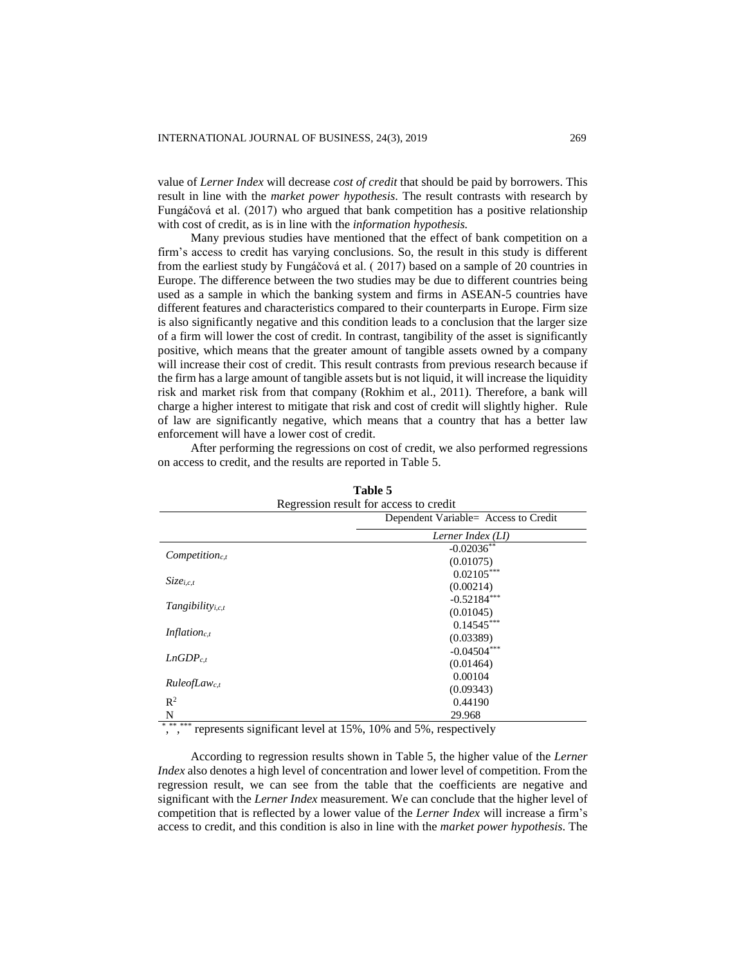value of *Lerner Index* will decrease *cost of credit* that should be paid by borrowers. This result in line with the *market power hypothesis*. The result contrasts with research by Fungáčová et al. (2017) who argued that bank competition has a positive relationship with cost of credit, as is in line with the *information hypothesis.* 

Many previous studies have mentioned that the effect of bank competition on a firm's access to credit has varying conclusions. So, the result in this study is different from the earliest study by Fungáčová et al. ( 2017) based on a sample of 20 countries in Europe. The difference between the two studies may be due to different countries being used as a sample in which the banking system and firms in ASEAN-5 countries have different features and characteristics compared to their counterparts in Europe. Firm size is also significantly negative and this condition leads to a conclusion that the larger size of a firm will lower the cost of credit. In contrast, tangibility of the asset is significantly positive, which means that the greater amount of tangible assets owned by a company will increase their cost of credit. This result contrasts from previous research because if the firm has a large amount of tangible assets but is not liquid, it will increase the liquidity risk and market risk from that company (Rokhim et al., 2011). Therefore, a bank will charge a higher interest to mitigate that risk and cost of credit will slightly higher. Rule of law are significantly negative, which means that a country that has a better law enforcement will have a lower cost of credit.

| Table 5<br>Regression result for access to credit |                   |  |
|---------------------------------------------------|-------------------|--|
|                                                   |                   |  |
|                                                   | Lerner Index (LI) |  |
|                                                   | $-0.02036**$      |  |
| $Competition_{c,t}$                               | (0.01075)         |  |
|                                                   | $0.02105***$      |  |
| $Size_{i,ct}$                                     | (0.00214)         |  |
|                                                   | $-0.52184***$     |  |
| $Tangibility_{i,c,t}$                             | (0.01045)         |  |
|                                                   | $0.14545***$      |  |
| <i>Inflation<sub>c,t</sub></i>                    | (0.03389)         |  |
|                                                   | $-0.04504***$     |  |
| $LnGDP_{c.t}$                                     | (0.01464)         |  |
|                                                   | 0.00104           |  |
| Rule of Law <sub>c,t</sub>                        | (0.09343)         |  |
| $\mathbb{R}^2$                                    | 0.44190           |  |
| N                                                 | 29.968            |  |

After performing the regressions on cost of credit, we also performed regressions on access to credit, and the results are reported in Table 5.

\*,\*\*\*\*\*\*\*\*\*\*\*\* represents significant level at 15%, 10% and 5%, respectively

According to regression results shown in Table 5, the higher value of the *Lerner Index* also denotes a high level of concentration and lower level of competition. From the regression result, we can see from the table that the coefficients are negative and significant with the *Lerner Index* measurement. We can conclude that the higher level of competition that is reflected by a lower value of the *Lerner Index* will increase a firm's access to credit, and this condition is also in line with the *market power hypothesis*. The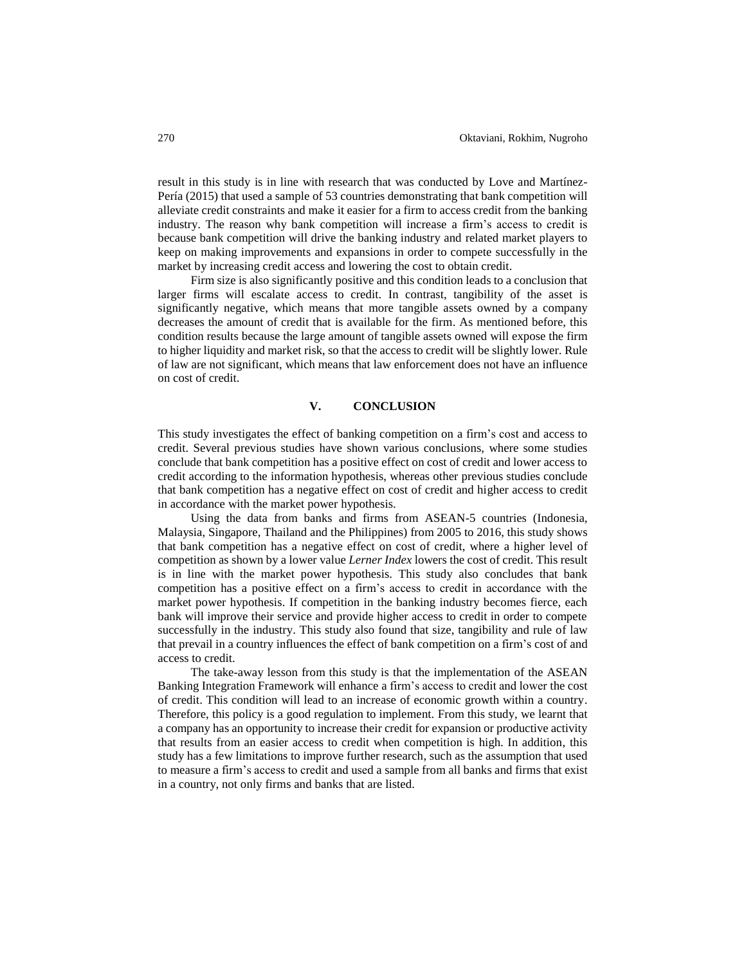result in this study is in line with research that was conducted by Love and Martínez-Pería (2015) that used a sample of 53 countries demonstrating that bank competition will alleviate credit constraints and make it easier for a firm to access credit from the banking industry. The reason why bank competition will increase a firm's access to credit is because bank competition will drive the banking industry and related market players to keep on making improvements and expansions in order to compete successfully in the market by increasing credit access and lowering the cost to obtain credit.

Firm size is also significantly positive and this condition leads to a conclusion that larger firms will escalate access to credit. In contrast, tangibility of the asset is significantly negative, which means that more tangible assets owned by a company decreases the amount of credit that is available for the firm. As mentioned before, this condition results because the large amount of tangible assets owned will expose the firm to higher liquidity and market risk, so that the access to credit will be slightly lower. Rule of law are not significant, which means that law enforcement does not have an influence on cost of credit.

# **V. CONCLUSION**

This study investigates the effect of banking competition on a firm's cost and access to credit. Several previous studies have shown various conclusions, where some studies conclude that bank competition has a positive effect on cost of credit and lower access to credit according to the information hypothesis, whereas other previous studies conclude that bank competition has a negative effect on cost of credit and higher access to credit in accordance with the market power hypothesis.

Using the data from banks and firms from ASEAN-5 countries (Indonesia, Malaysia, Singapore, Thailand and the Philippines) from 2005 to 2016, this study shows that bank competition has a negative effect on cost of credit, where a higher level of competition as shown by a lower value *Lerner Index* lowers the cost of credit. This result is in line with the market power hypothesis. This study also concludes that bank competition has a positive effect on a firm's access to credit in accordance with the market power hypothesis. If competition in the banking industry becomes fierce, each bank will improve their service and provide higher access to credit in order to compete successfully in the industry. This study also found that size, tangibility and rule of law that prevail in a country influences the effect of bank competition on a firm's cost of and access to credit.

The take-away lesson from this study is that the implementation of the ASEAN Banking Integration Framework will enhance a firm's access to credit and lower the cost of credit. This condition will lead to an increase of economic growth within a country. Therefore, this policy is a good regulation to implement. From this study, we learnt that a company has an opportunity to increase their credit for expansion or productive activity that results from an easier access to credit when competition is high. In addition, this study has a few limitations to improve further research, such as the assumption that used to measure a firm's access to credit and used a sample from all banks and firms that exist in a country, not only firms and banks that are listed.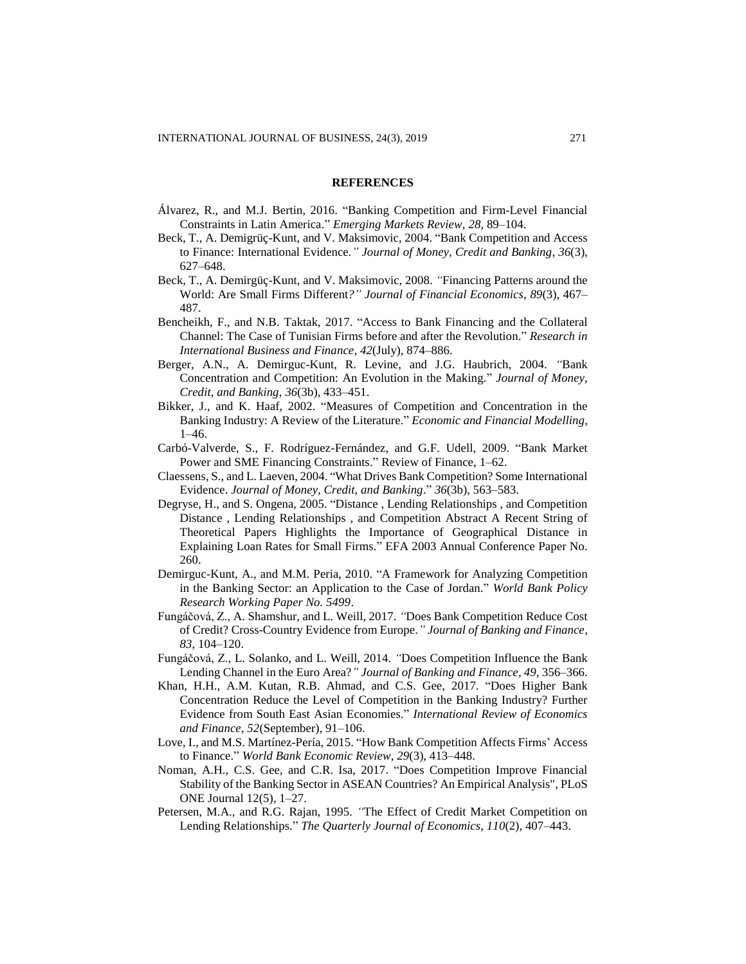#### **REFERENCES**

- Álvarez, R., and M.J. Bertin, 2016. "Banking Competition and Firm-Level Financial Constraints in Latin America." *Emerging Markets Review*, *28*, 89–104.
- Beck, T., A. Demigrüç-Kunt, and V. Maksimovic, 2004. "Bank Competition and Access to Finance: International Evidence*." Journal of Money, Credit and Banking*, *36*(3), 627–648.
- Beck, T., A. Demirgüç-Kunt, and V. Maksimovic, 2008. *"*Financing Patterns around the World: Are Small Firms Different*?" Journal of Financial Economics*, *89*(3), 467– 487.
- Bencheikh, F., and N.B. Taktak, 2017. "Access to Bank Financing and the Collateral Channel: The Case of Tunisian Firms before and after the Revolution." *Research in International Business and Finance*, *42*(July), 874–886.
- Berger, A.N., A. Demirguc-Kunt, R. Levine, and J.G. Haubrich, 2004. *"*Bank Concentration and Competition: An Evolution in the Making*.*" *Journal of Money, Credit, and Banking*, *36*(3b), 433–451.
- Bikker, J., and K. Haaf, 2002. "Measures of Competition and Concentration in the Banking Industry: A Review of the Literature." *Economic and Financial Modelling*, 1–46.
- Carbó-Valverde, S., F. Rodríguez-Fernández, and G.F. Udell, 2009. "Bank Market Power and SME Financing Constraints." Review of Finance, 1–62.
- Claessens, S., and L. Laeven, 2004. "What Drives Bank Competition? Some International Evidence. *Journal of Money, Credit, and Banking*." *36*(3b), 563–583.
- Degryse, H., and S. Ongena, 2005. "Distance , Lending Relationships , and Competition Distance , Lending Relationships , and Competition Abstract A Recent String of Theoretical Papers Highlights the Importance of Geographical Distance in Explaining Loan Rates for Small Firms." EFA 2003 Annual Conference Paper No. 260.
- Demirguc-Kunt, A., and M.M. Peria, 2010. "A Framework for Analyzing Competition in the Banking Sector: an Application to the Case of Jordan." *World Bank Policy Research Working Paper No. 5499*.
- Fungáčová, Z., A. Shamshur, and L. Weill, 2017. *"*Does Bank Competition Reduce Cost of Credit? Cross-Country Evidence from Europe.*" Journal of Banking and Finance*, *83*, 104–120.
- Fungáčová, Z., L. Solanko, and L. Weill, 2014. *"*Does Competition Influence the Bank Lending Channel in the Euro Area?*" Journal of Banking and Finance*, *49*, 356–366.
- Khan, H.H., A.M. Kutan, R.B. Ahmad, and C.S. Gee, 2017. "Does Higher Bank Concentration Reduce the Level of Competition in the Banking Industry? Further Evidence from South East Asian Economies." *International Review of Economics and Finance*, *52*(September), 91–106.
- Love, I., and M.S. Martínez-Pería, 2015. "How Bank Competition Affects Firms' Access to Finance." *World Bank Economic Review*, *29*(3), 413–448.
- Noman, A.H., C.S. Gee, and C.R. Isa, 2017. "Does Competition Improve Financial Stability of the Banking Sector in ASEAN Countries? An Empirical Analysis", PLoS ONE Journal 12(5), 1–27.
- Petersen, M.A., and R.G. Rajan, 1995. *"*The Effect of Credit Market Competition on Lending Relationships." *The Quarterly Journal of Economics*, *110*(2), 407–443.